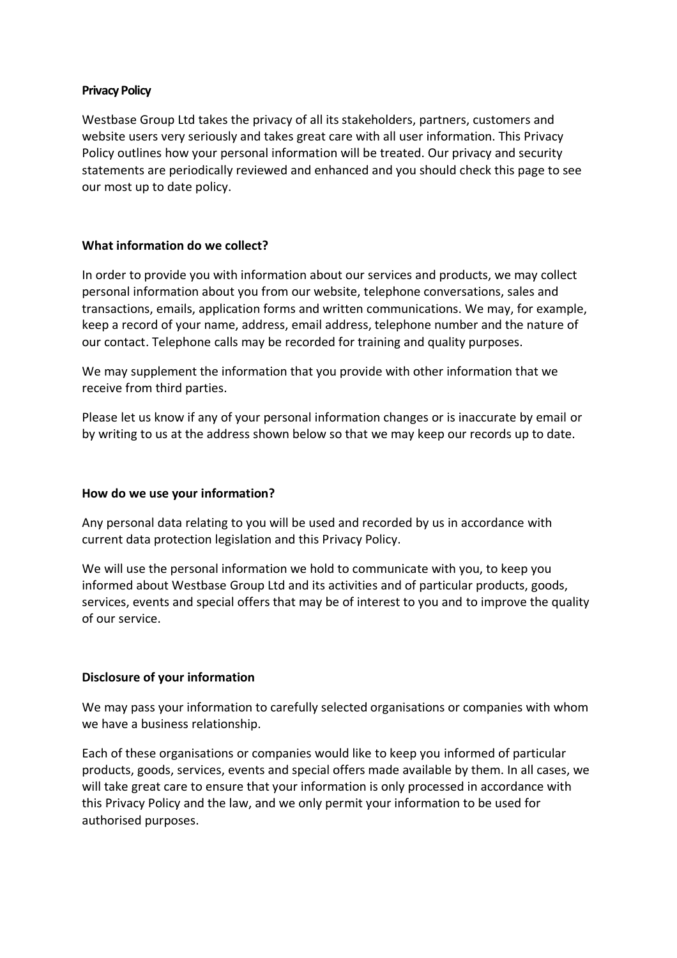#### **Privacy Policy**

Westbase Group Ltd takes the privacy of all its stakeholders, partners, customers and website users very seriously and takes great care with all user information. This Privacy Policy outlines how your personal information will be treated. Our privacy and security statements are periodically reviewed and enhanced and you should check this page to see our most up to date policy.

## **What information do we collect?**

In order to provide you with information about our services and products, we may collect personal information about you from our website, telephone conversations, sales and transactions, emails, application forms and written communications. We may, for example, keep a record of your name, address, email address, telephone number and the nature of our contact. Telephone calls may be recorded for training and quality purposes.

We may supplement the information that you provide with other information that we receive from third parties.

Please let us know if any of your personal information changes or is inaccurate by email or by writing to us at the address shown below so that we may keep our records up to date.

# **How do we use your information?**

Any personal data relating to you will be used and recorded by us in accordance with current data protection legislation and this Privacy Policy.

We will use the personal information we hold to communicate with you, to keep you informed about Westbase Group Ltd and its activities and of particular products, goods, services, events and special offers that may be of interest to you and to improve the quality of our service.

# **Disclosure of your information**

We may pass your information to carefully selected organisations or companies with whom we have a business relationship.

Each of these organisations or companies would like to keep you informed of particular products, goods, services, events and special offers made available by them. In all cases, we will take great care to ensure that your information is only processed in accordance with this Privacy Policy and the law, and we only permit your information to be used for authorised purposes.